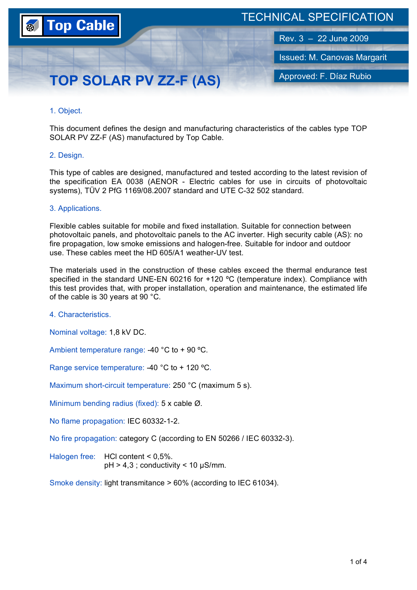

# TECHNICAL SPECIFICATION

Rev. 3 – 22 June 2009

Issued: M. Canovas Margarit

Approved: F. Díaz Rubio

# **TOP SOLAR PV ZZ-F (AS)**

# 1. Object.

This document defines the design and manufacturing characteristics of the cables type TOP SOLAR PV ZZ-F (AS) manufactured by Top Cable.

# 2. Design.

This type of cables are designed, manufactured and tested according to the latest revision of the specification EA 0038 (AENOR - Electric cables for use in circuits of photovoltaic systems), TÜV 2 PfG 1169/08.2007 standard and UTE C-32 502 standard.

# 3. Applications.

Flexible cables suitable for mobile and fixed installation. Suitable for connection between photovoltaic panels, and photovoltaic panels to the AC inverter. High security cable (AS): no fire propagation, low smoke emissions and halogen-free. Suitable for indoor and outdoor use. These cables meet the HD 605/A1 weather-UV test.

The materials used in the construction of these cables exceed the thermal endurance test specified in the standard UNE-EN 60216 for  $+120$  °C (temperature index). Compliance with this test provides that, with proper installation, operation and maintenance, the estimated life of the cable is 30 years at 90 °C.

4. Characteristics.

Nominal voltage: 1,8 kV DC.

Ambient temperature range: -40 °C to + 90 ºC.

Range service temperature: -40 °C to + 120 ºC.

Maximum short-circuit temperature: 250 °C (maximum 5 s).

Minimum bending radius (fixed): 5 x cable Ø.

No flame propagation: IEC 60332-1-2.

No fire propagation: category C (according to EN 50266 / IEC 60332-3).

Halogen free: HCl content < 0,5%.  $pH > 4.3$ ; conductivity < 10  $\mu$ S/mm.

Smoke density: light transmitance > 60% (according to IEC 61034).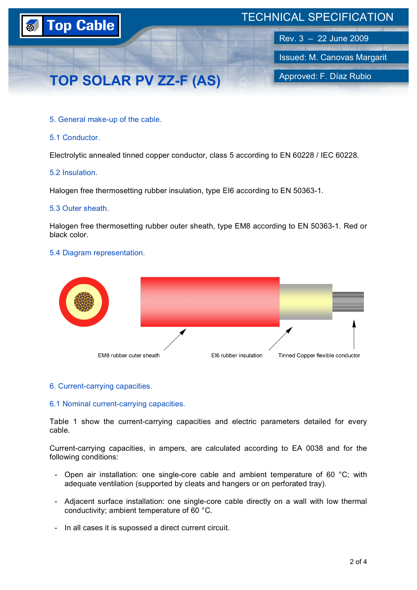

## 5. General make-up of the cable.

#### 5.1 Conductor.

Electrolytic annealed tinned copper conductor, class 5 according to EN 60228 / IEC 60228.

#### 5.2 Insulation.

Halogen free thermosetting rubber insulation, type EI6 according to EN 50363-1.

#### 5.3 Outer sheath.

Halogen free thermosetting rubber outer sheath, type EM8 according to EN 50363-1. Red or black color.

# 5.4 Diagram representation.



#### 6. Current-carrying capacities.

#### 6.1 Nominal current-carrying capacities.

Table 1 show the current-carrying capacities and electric parameters detailed for every cable.

Current-carrying capacities, in ampers, are calculated according to EA 0038 and for the following conditions:

- Open air installation: one single-core cable and ambient temperature of 60 °C; with adequate ventilation (supported by cleats and hangers or on perforated tray).
- Adjacent surface installation: one single-core cable directly on a wall with low thermal conductivity; ambient temperature of 60 °C.
- In all cases it is supossed a direct current circuit.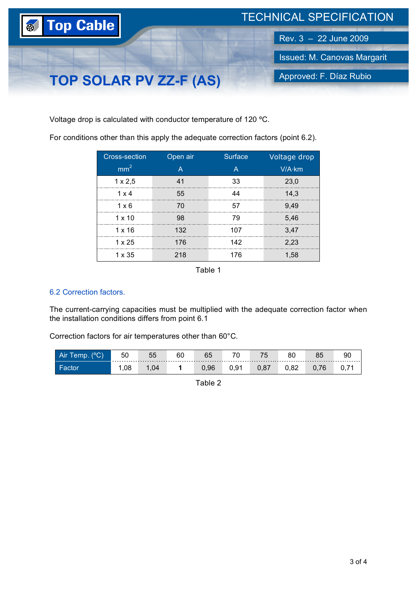

Voltage drop is calculated with conductor temperature of 120 ºC.

For conditions other than this apply the adequate correction factors (point 6.2).

| Cross-section   | Open air | Surface | Voltage drop |
|-----------------|----------|---------|--------------|
| mm <sup>2</sup> |          |         | V/A·km       |
| $1 \times 2,5$  | Λ1       | 33      | 23,0         |
| 1 x 4           | 55       | 44      | 14,3         |
| $1 \times 6$    | 70       | 57      | 9.49         |
| $1 \times 10$   | 98       | 79      | 5,46         |
| $1 \times 16$   | 132      | 107     | 3,47         |
| $1 \times 25$   | 176      | 142     | 2,23         |
| 1 x 35          | 218      | 176     | 1.58         |

Table 1

# 6.2 Correction factors.

The current-carrying capacities must be multiplied with the adequate correction factor when the installation conditions differs from point 6.1

Correction factors for air temperatures other than 60°C.

| - Air<br>$\sim$ | ы         | UU  | v.   |     | --                                       |      | 90 |
|-----------------|-----------|-----|------|-----|------------------------------------------|------|----|
| ∣ Facto         | nα<br>.uo | .04 | 0.96 | ◡.◡ | $\circ$<br>$\mathbf{v}$ , $\mathbf{v}$ , | ◡.◡← |    |

Table 2